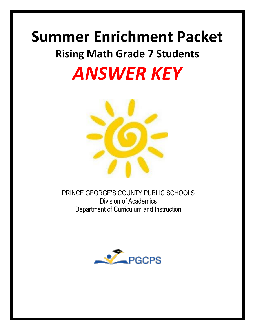# **Summer Enrichment Packet Rising Math Grade 7 Students**





PRINCE GEORGE'S COUNTY PUBLIC SCHOOLS Division of Academics Department of Curriculum and Instruction

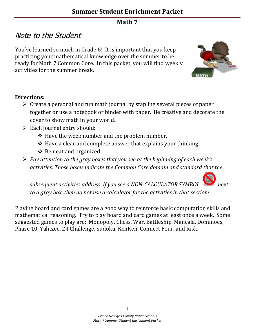# Note to the Student

You've learned so much in Grade 6! It is important that you keep practicing your mathematical knowledge over the summer to be ready for Math 7 Common Core. In this packet, you will find weekly activities for the summer break.



#### **Directions:**

- ➢ Create a personal and fun math journal by stapling several pieces of paper together or use a notebook or binder with paper. Be creative and decorate the cover to show math in your world.
- ➢ Each journal entry should:
	- ❖ Have the week number and the problem number.
	- ❖ Have a clear and complete answer that explains your thinking.
	- ❖ Be neat and organized.
- ➢ *Pay attention to the gray boxes that you see at the beginning of each week's activities. Those boxes indicate the Common Core domain and standard that the*



*subsequent activities address. If you see a NON-CALCULATOR SYMBOL to a gray box, then do not use a calculator for the activities in that section!*

Playing board and card games are a good way to reinforce basic computation skills and mathematical reasoning. Try to play board and card games at least once a week. Some suggested games to play are: Monopoly, Chess, War, Battleship, Mancala, Dominoes, Phase 10, Yahtzee, 24 Challenge, Sudoku, KenKen, Connect Four, and Risk.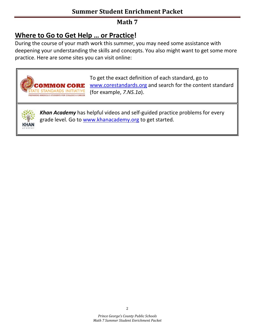# **Where to Go to Get Help … or Practice!**

During the course of your math work this summer, you may need some assistance with deepening your understanding the skills and concepts. You also might want to get some more practice. Here are some sites you can visit online:

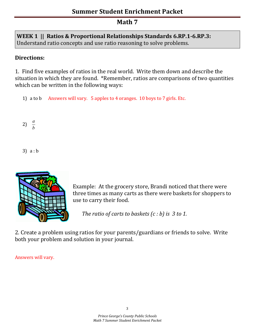#### **WEEK 1 || Ratios & Proportional Relationships Standards 6.RP.1-6.RP.3:**  Understand ratio concepts and use ratio reasoning to solve problems.

#### **Directions:**

1. Find five examples of ratios in the real world. Write them down and describe the situation in which they are found. \*Remember, ratios are comparisons of two quantities which can be written in the following ways:

1) a to b Answers will vary. 5 apples to 4 oranges. 10 boys to 7 girls. Etc.

2)  $\frac{a}{b}$ *b*

3) a : b



Example: At the grocery store, Brandi noticed that there were three times as many carts as there were baskets for shoppers to use to carry their food.

 *The ratio of carts to baskets (c : b) is 3 to 1.* 

2. Create a problem using ratios for your parents/guardians or friends to solve. Write both your problem and solution in your journal.

Answers will vary.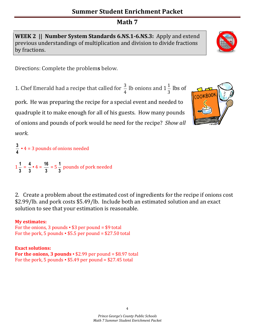**WEEK 2 || Number System Standards 6.NS.1-6.NS.3:** Apply and extend previous understandings of multiplication and division to divide fractions by fractions.

Directions: Complete the problem**s** below.

1. Chef Emerald had a recipe that called for 4  $\frac{3}{1}$  lb onions and 1 3  $\frac{1}{2}$  lbs of

pork. He was preparing the recipe for a special event and needed to quadruple it to make enough for all of his guests. How many pounds of onions and pounds of pork would he need for the recipe? *Show all work.*

**4**  $\frac{3}{4}$   $\cdot$  4 = 3 pounds of onions needed 1 **3**  $\frac{1}{2}$  = **3**  $\frac{4}{5}$  = 4 = **3**  $\frac{16}{2}$  = 5 **3 1** pounds of pork needed

2. Create a problem about the estimated cost of ingredients for the recipe if onions cost \$2.99/lb. and pork costs \$5.49/lb. Include both an estimated solution and an exact solution to see that your estimation is reasonable.

#### **My estimates:**

For the onions, 3 pounds  $\bullet$  \$3 per pound = \$9 total For the pork, 5 pounds  $\cdot$  \$5.5 per pound = \$27.50 total

#### **Exact solutions:**

**For the onions, 3 pounds** ▪ \$2.99 per pound = \$8.97 total For the pork, 5 pounds  $\cdot$  \$5.49 per pound = \$27.45 total

4



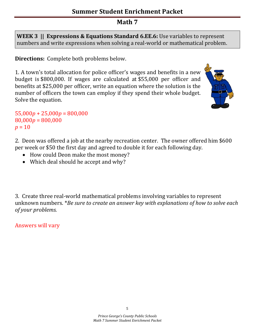**WEEK 3 || Expressions & Equations Standard 6.EE.6:** Use variables to represent numbers and write expressions when solving a real-world or mathematical problem.

**Directions:** Complete both problems below.

1. A town's total allocation for police officer's wages and benefits in a new budget is \$800,000. If wages are calculated at \$55,000 per officer and benefits at \$25,000 per officer, write an equation where the solution is the number of officers the town can employ if they spend their whole budget. Solve the equation.



 $55,000p + 25,000p = 800,000$ 80,000*p* = 800,000  $p = 10$ 

2. Deon was offered a job at the nearby recreation center. The owner offered him \$600 per week or \$50 the first day and agreed to double it for each following day.

- How could Deon make the most money?
- Which deal should he accept and why?

3. Create three real-world mathematical problems involving variables to represent unknown numbers. \**Be sure to create an answer key with explanations of how to solve each of your problems.*

Answers will vary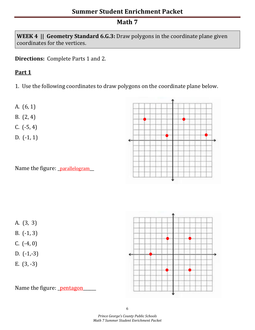**WEEK 4 || Geometry Standard 6.G.3:** Draw polygons in the coordinate plane given coordinates for the vertices.

**Directions:** Complete Parts 1 and 2.

#### **Part 1**

- 1. Use the following coordinates to draw polygons on the coordinate plane below.
- A. (6, 1)

B. (2, 4)

C. (-5, 4)

D. (-1, 1)

Name the figure: \_parallelogram\_



- A. (3, 3)
- B. (-1, 3)
- C. (-4, 0)
- D. (-1,-3)
- E. (3, -3)

Name the figure: pentagon



*Prince George's County Public Schools Math 7 Summer Student Enrichment Packet*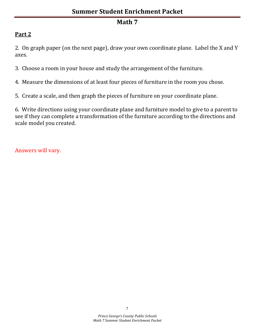#### **Summer Student Enrichment Packet**

#### **Math 7**

#### **Part 2**

2. On graph paper (on the next page), draw your own coordinate plane. Label the X and Y axes.

- 3. Choose a room in your house and study the arrangement of the furniture.
- 4. Measure the dimensions of at least four pieces of furniture in the room you chose.
- 5. Create a scale, and then graph the pieces of furniture on your coordinate plane.

6. Write directions using your coordinate plane and furniture model to give to a parent to see if they can complete a transformation of the furniture according to the directions and scale model you created.

Answers will vary.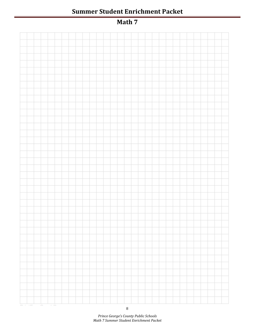# **Summer Student Enrichment Packet**

**Math 7**



*Prince George's County Public Schools Math 7 Summer Student Enrichment Packet*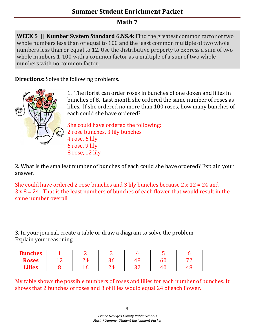**WEEK 5 || Number System Standard 6.NS.4:** Find the greatest common factor of two whole numbers less than or equal to 100 and the least common multiple of two whole numbers less than or equal to 12. Use the distributive property to express a sum of two whole numbers 1-100 with a common factor as a multiple of a sum of two whole numbers with no common factor.

**Directions:** Solve the following problems.



1. The florist can order roses in bunches of one dozen and lilies in bunches of 8. Last month she ordered the same number of roses as lilies. If she ordered no more than 100 roses, how many bunches of each could she have ordered?

She could have ordered the following: 2 rose bunches, 3 lily bunches 4 rose, 6 lily 6 rose, 9 lily 8 rose, 12 lily

2. What is the smallest number of bunches of each could she have ordered? Explain your answer.

She could have ordered 2 rose bunches and 3 lily bunches because 2 x 12 = 24 and  $3 \times 8 = 24$ . That is the least numbers of bunches of each flower that would result in the same number overall.

3. In your journal, create a table or draw a diagram to solve the problem. Explain your reasoning.

| <b>Bunches</b> |            |                          |         |          |    |                |
|----------------|------------|--------------------------|---------|----------|----|----------------|
| <b>Roses</b>   | $\sqrt{2}$ | $\overline{\phantom{a}}$ | ົ<br>UU |          | 60 | $\overline{a}$ |
| <b>Lilies</b>  |            | 6                        |         | ົດຕ<br>ັ | 4  |                |

My table shows the possible numbers of roses and lilies for each number of bunches. It shows that 2 bunches of roses and 3 of lilies would equal 24 of each flower.

9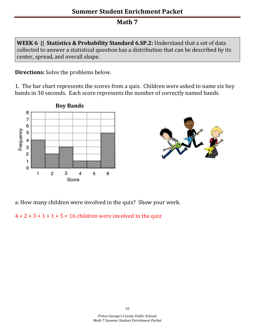**WEEK 6 || Statistics & Probability Standard 6.SP.2:** Understand that a set of data collected to answer a statistical question has a distribution that can be described by its center, spread, and overall shape.

**Directions:** Solve the problems below.

1. The bar chart represents the scores from a quiz. Children were asked to name six boy bands in 30 seconds. Each score represents the number of correctly named bands.





a. How many children were involved in the quiz? Show your work.

 $4 + 2 + 3 + 1 + 1 + 5 = 16$  children were involved in the quiz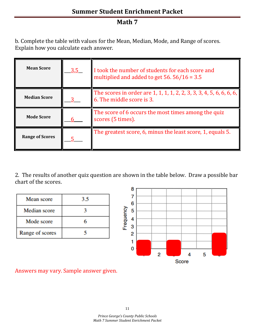b. Complete the table with values for the Mean, Median, Mode, and Range of scores. Explain how you calculate each answer.

| <b>Mean Score</b>      | 3.5 | I took the number of students for each score and<br>multiplied and added to get 56. $56/16 = 3.5$ |
|------------------------|-----|---------------------------------------------------------------------------------------------------|
| <b>Median Score</b>    |     | The scores in order are 1, 1, 1, 1, 2, 2, 3, 3, 3, 4, 5, 6, 6, 6, 6,<br>6. The middle score is 3. |
| <b>Mode Score</b>      |     | The score of 6 occurs the most times among the quiz<br>scores (5 times).                          |
| <b>Range of Scores</b> |     | The greatest score, 6, minus the least score, 1, equals 5.                                        |

2. The results of another quiz question are shown in the table below. Draw a possible bar chart of the scores.

| Mean score      | 3.5 |  |
|-----------------|-----|--|
| Median score    |     |  |
| Mode score      |     |  |
| Range of scores |     |  |



Answers may vary. Sample answer given.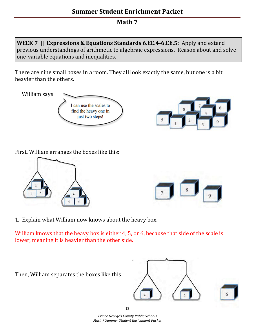**WEEK 7 || Expressions & Equations Standards 6.EE.4-6.EE.5:** Apply and extend previous understandings of arithmetic to algebraic expressions. Reason about and solve one-variable equations and inequalities.

There are nine small boxes in a room. They all look exactly the same, but one is a bit heavier than the others.



First, William arranges the boxes like this:





1. Explain what William now knows about the heavy box.

William knows that the heavy box is either 4, 5, or 6, because that side of the scale is lower, meaning it is heavier than the other side.

Then, William separates the boxes like this.



*Prince George's County Public Schools Math 7 Summer Student Enrichment Packet*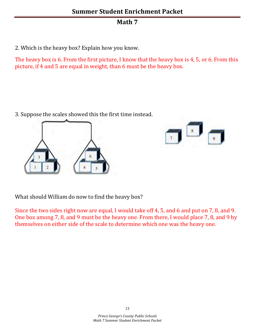2. Which is the heavy box? Explain how you know.

The heavy box is 6. From the first picture, I know that the heavy box is 4, 5, or 6. From this picture, if 4 and 5 are equal in weight, than 6 must be the heavy box.

3. Suppose the scales showed this the first time instead.





What should William do now to find the heavy box?

Since the two sides right now are equal, I would take off 4, 5, and 6 and put on 7, 8, and 9. One box among 7, 8, and 9 must be the heavy one. From there, I would place 7, 8, and 9 by themselves on either side of the scale to determine which one was the heavy one.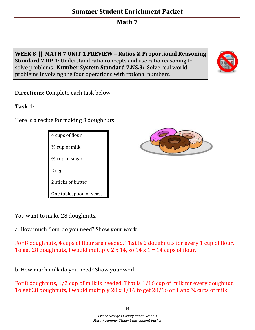**WEEK 8 || MATH 7 UNIT 1 PREVIEW – Ratios & Proportional Reasoning Standard 7.RP.1:** Understand ratio concepts and use ratio reasoning to solve problems. **Number System Standard 7.NS.3:** Solve real world problems involving the four operations with rational numbers.



#### **Task 1:**

Here is a recipe for making 8 doughnuts:



You want to make 28 doughnuts.

a. How much flour do you need? Show your work.

For 8 doughnuts, 4 cups of flour are needed. That is 2 doughnuts for every 1 cup of flour. To get 28 doughnuts, I would multiply 2 x 14, so  $14 \times 1 = 14$  cups of flour.

b. How much milk do you need? Show your work.

For 8 doughnuts, 1/2 cup of milk is needed. That is 1/16 cup of milk for every doughnut. To get 28 doughnuts, I would multiply 28 x  $1/16$  to get 28/16 or 1 and  $\frac{3}{4}$  cups of milk.



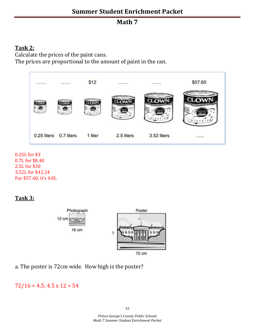#### **Task 2:**

Calculate the prices of the paint cans.

The prices are proportional to the amount of paint in the can.



0.25L for \$3 0.7L for \$8.40 2.5L for \$30 3.52L for \$42.24 For \$57.60, it's 4.8L

#### **Task 3:**



a. The poster is 72cm wide. How high is the poster?

 $72/16 = 4.5$ ;  $4.5 \times 12 = 54$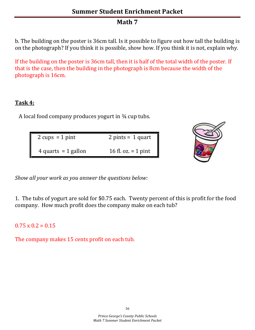b. The building on the poster is 36cm tall. Is it possible to figure out how tall the building is on the photograph? If you think it is possible, show how. If you think it is not, explain why.

If the building on the poster is 36cm tall, then it is half of the total width of the poster. If that is the case, then the building in the photograph is 8cm because the width of the photograph is 16cm.

#### **Task 4:**

A local food company produces yogurt in ¾ cup tubs.

| $2 \text{ cups} = 1 \text{ pint}$ | $2 \text{ pints} = 1 \text{ quart}$ |  |  |
|-----------------------------------|-------------------------------------|--|--|
| 4 quarts $= 1$ gallon             | 16 fl. oz. $=$ 1 pint               |  |  |



*Show all your work as you answer the questions below:*

1. The tubs of yogurt are sold for \$0.75 each. Twenty percent of this is profit for the food company. How much profit does the company make on each tub?

#### $0.75 \times 0.2 = 0.15$

The company makes 15 cents profit on each tub.